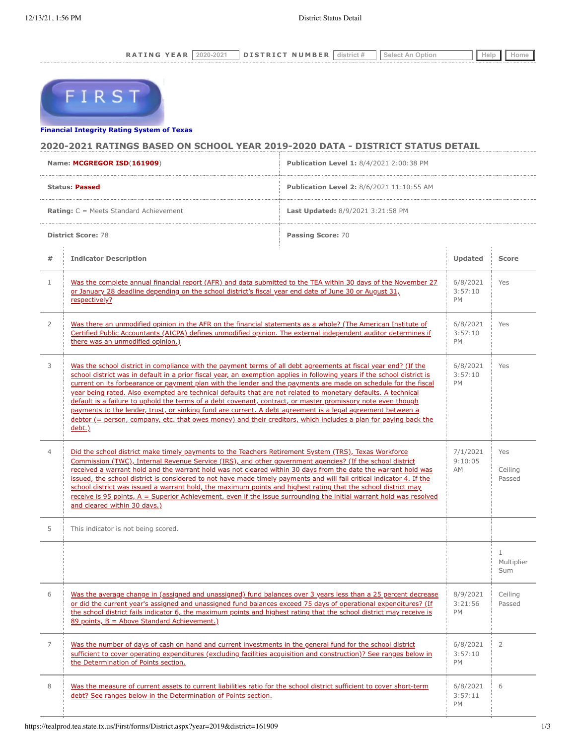RATING YEAR 2020-2021 DISTRICT NUMBER district # Select An Option | Help | Home



## **[Financial Integrity Rating System o](https://tealprod.tea.state.tx.us/First/forms/Main.aspx)f Texas**

# **2020-2021 RATINGS BASED ON SCHOOL YEAR 2019-2020 DATA - DISTRICT STATUS DETAIL**

| Name: MCGREGOR ISD(161909)                     |                                                                                                                                                                                                                                                                                                                                                                                                                                                                                                                                                                                                                                                                                                                                                                                                                                                    | Publication Level 1: 8/4/2021 2:00:38 PM         |                                  |                                   |
|------------------------------------------------|----------------------------------------------------------------------------------------------------------------------------------------------------------------------------------------------------------------------------------------------------------------------------------------------------------------------------------------------------------------------------------------------------------------------------------------------------------------------------------------------------------------------------------------------------------------------------------------------------------------------------------------------------------------------------------------------------------------------------------------------------------------------------------------------------------------------------------------------------|--------------------------------------------------|----------------------------------|-----------------------------------|
| <b>Status: Passed</b>                          |                                                                                                                                                                                                                                                                                                                                                                                                                                                                                                                                                                                                                                                                                                                                                                                                                                                    | <b>Publication Level 2: 8/6/2021 11:10:55 AM</b> |                                  |                                   |
| <b>Rating:</b> C = Meets Standard Achievement  |                                                                                                                                                                                                                                                                                                                                                                                                                                                                                                                                                                                                                                                                                                                                                                                                                                                    | Last Updated: 8/9/2021 3:21:58 PM                |                                  |                                   |
| <b>District Score: 78</b><br>Passing Score: 70 |                                                                                                                                                                                                                                                                                                                                                                                                                                                                                                                                                                                                                                                                                                                                                                                                                                                    |                                                  |                                  |                                   |
| #                                              | <b>Indicator Description</b>                                                                                                                                                                                                                                                                                                                                                                                                                                                                                                                                                                                                                                                                                                                                                                                                                       |                                                  | Updated                          | <b>Score</b>                      |
| $\mathbf{1}$                                   | Was the complete annual financial report (AFR) and data submitted to the TEA within 30 days of the November 27<br>or January 28 deadline depending on the school district's fiscal year end date of June 30 or August 31,<br>respectively?                                                                                                                                                                                                                                                                                                                                                                                                                                                                                                                                                                                                         |                                                  | 6/8/2021<br>3:57:10<br>PM        | Yes                               |
| $\overline{2}$                                 | Was there an unmodified opinion in the AFR on the financial statements as a whole? (The American Institute of<br>Certified Public Accountants (AICPA) defines unmodified opinion. The external independent auditor determines if<br>there was an unmodified opinion.)                                                                                                                                                                                                                                                                                                                                                                                                                                                                                                                                                                              |                                                  | 6/8/2021<br>3:57:10<br><b>PM</b> | Yes                               |
| 3                                              | Was the school district in compliance with the payment terms of all debt agreements at fiscal year end? (If the<br>school district was in default in a prior fiscal year, an exemption applies in following years if the school district is<br>current on its forbearance or payment plan with the lender and the payments are made on schedule for the fiscal<br>year being rated. Also exempted are technical defaults that are not related to monetary defaults. A technical<br>default is a failure to uphold the terms of a debt covenant, contract, or master promissory note even though<br>payments to the lender, trust, or sinking fund are current. A debt agreement is a legal agreement between a<br>debtor (= person, company, etc. that owes money) and their creditors, which includes a plan for paying back the<br><u>debt.)</u> |                                                  | 6/8/2021<br>3:57:10<br><b>PM</b> | Yes                               |
| $\overline{4}$                                 | Did the school district make timely payments to the Teachers Retirement System (TRS), Texas Workforce<br>Commission (TWC), Internal Revenue Service (IRS), and other government agencies? (If the school district<br>received a warrant hold and the warrant hold was not cleared within 30 days from the date the warrant hold was<br>issued, the school district is considered to not have made timely payments and will fail critical indicator 4. If the<br>school district was issued a warrant hold, the maximum points and highest rating that the school district may<br>receive is 95 points, $A =$ Superior Achievement, even if the issue surrounding the initial warrant hold was resolved<br>and cleared within 30 days.)                                                                                                             |                                                  | 7/1/2021<br>9:10:05<br>AM        | Yes<br>Ceiling<br>Passed          |
| 5                                              | This indicator is not being scored.                                                                                                                                                                                                                                                                                                                                                                                                                                                                                                                                                                                                                                                                                                                                                                                                                |                                                  |                                  |                                   |
|                                                |                                                                                                                                                                                                                                                                                                                                                                                                                                                                                                                                                                                                                                                                                                                                                                                                                                                    |                                                  |                                  | $\mathbf{1}$<br>Multiplier<br>Sum |
| 6                                              | Was the average change in (assigned and unassigned) fund balances over 3 years less than a 25 percent decrease<br>or did the current year's assigned and unassigned fund balances exceed 75 days of operational expenditures? (If<br>the school district fails indicator 6, the maximum points and highest rating that the school district may receive is<br>89 points, B = Above Standard Achievement.)                                                                                                                                                                                                                                                                                                                                                                                                                                           |                                                  | 8/9/2021<br>3:21:56<br>PM        | Ceiling<br>Passed                 |
| $\overline{7}$                                 | Was the number of days of cash on hand and current investments in the general fund for the school district<br>sufficient to cover operating expenditures (excluding facilities acquisition and construction)? See ranges below in<br>the Determination of Points section.                                                                                                                                                                                                                                                                                                                                                                                                                                                                                                                                                                          |                                                  | 6/8/2021<br>3:57:10<br>PM        | $\overline{2}$                    |
| 8                                              | Was the measure of current assets to current liabilities ratio for the school district sufficient to cover short-term<br>debt? See ranges below in the Determination of Points section.                                                                                                                                                                                                                                                                                                                                                                                                                                                                                                                                                                                                                                                            |                                                  | 6/8/2021<br>3:57:11<br>PM        | 6                                 |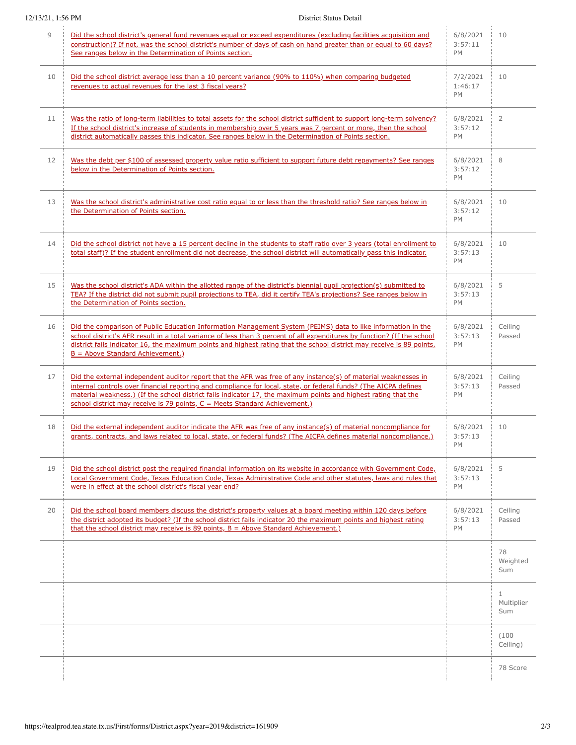## 12/13/21, 1:56 PM District Status Detail

| 9  | Did the school district's general fund revenues equal or exceed expenditures (excluding facilities acquisition and<br>construction)? If not, was the school district's number of days of cash on hand greater than or equal to 60 days?<br>See ranges below in the Determination of Points section.                                                                                                                                  | 6/8/2021<br>3:57:11<br>PM        | 10                                |
|----|--------------------------------------------------------------------------------------------------------------------------------------------------------------------------------------------------------------------------------------------------------------------------------------------------------------------------------------------------------------------------------------------------------------------------------------|----------------------------------|-----------------------------------|
| 10 | Did the school district average less than a 10 percent variance (90% to 110%) when comparing budgeted<br>revenues to actual revenues for the last 3 fiscal years?                                                                                                                                                                                                                                                                    | 7/2/2021<br>1:46:17<br>PM        | 10                                |
| 11 | Was the ratio of long-term liabilities to total assets for the school district sufficient to support long-term solvency?<br>If the school district's increase of students in membership over 5 years was 7 percent or more, then the school<br>district automatically passes this indicator. See ranges below in the Determination of Points section.                                                                                | 6/8/2021<br>3:57:12<br>PM        | $\overline{2}$                    |
| 12 | Was the debt per \$100 of assessed property value ratio sufficient to support future debt repayments? See ranges<br>below in the Determination of Points section.                                                                                                                                                                                                                                                                    | 6/8/2021<br>3:57:12<br>PM        | 8                                 |
| 13 | Was the school district's administrative cost ratio equal to or less than the threshold ratio? See ranges below in<br>the Determination of Points section.                                                                                                                                                                                                                                                                           | 6/8/2021<br>3:57:12<br>PM        | 10                                |
| 14 | Did the school district not have a 15 percent decline in the students to staff ratio over 3 years (total enrollment to<br>total staff)? If the student enrollment did not decrease, the school district will automatically pass this indicator.                                                                                                                                                                                      | 6/8/2021<br>3:57:13<br>PM        | 10                                |
| 15 | Was the school district's ADA within the allotted range of the district's biennial pupil projection(s) submitted to<br>TEA? If the district did not submit pupil projections to TEA, did it certify TEA's projections? See ranges below in<br>the Determination of Points section.                                                                                                                                                   | 6/8/2021<br>3:57:13<br>PM        | 5                                 |
| 16 | Did the comparison of Public Education Information Management System (PEIMS) data to like information in the<br>school district's AFR result in a total variance of less than 3 percent of all expenditures by function? (If the school<br>district fails indicator 16, the maximum points and highest rating that the school district may receive is 89 points,<br>$B =$ Above Standard Achievement.)                               | 6/8/2021<br>3:57:13<br>PM        | Ceiling<br>Passed                 |
| 17 | Did the external independent auditor report that the AFR was free of any instance(s) of material weaknesses in<br>internal controls over financial reporting and compliance for local, state, or federal funds? (The AICPA defines<br>material weakness.) (If the school district fails indicator 17, the maximum points and highest rating that the<br>school district may receive is 79 points, $C =$ Meets Standard Achievement.) | 6/8/2021<br>3:57:13<br>PM        | Ceiling<br>Passed                 |
| 18 | Did the external independent auditor indicate the AFR was free of any instance(s) of material noncompliance for<br>grants, contracts, and laws related to local, state, or federal funds? (The AICPA defines material noncompliance.)                                                                                                                                                                                                | 6/8/2021<br>3:57:13<br>PM        | 10                                |
| 19 | Did the school district post the required financial information on its website in accordance with Government Code,<br>Local Government Code, Texas Education Code, Texas Administrative Code and other statutes, laws and rules that<br>were in effect at the school district's fiscal year end?                                                                                                                                     | 6/8/2021<br>3:57:13<br><b>PM</b> | 5                                 |
| 20 | Did the school board members discuss the district's property values at a board meeting within 120 days before<br>the district adopted its budget? (If the school district fails indicator 20 the maximum points and highest rating<br>that the school district may receive is 89 points, $B =$ Above Standard Achievement.)                                                                                                          | 6/8/2021<br>3:57:13<br>PM        | Ceiling<br>Passed                 |
|    |                                                                                                                                                                                                                                                                                                                                                                                                                                      |                                  | 78<br>Weighted<br>Sum             |
|    |                                                                                                                                                                                                                                                                                                                                                                                                                                      |                                  | $\mathbf{1}$<br>Multiplier<br>Sum |
|    |                                                                                                                                                                                                                                                                                                                                                                                                                                      |                                  | (100)<br>Ceiling)                 |
|    |                                                                                                                                                                                                                                                                                                                                                                                                                                      |                                  | 78 Score                          |